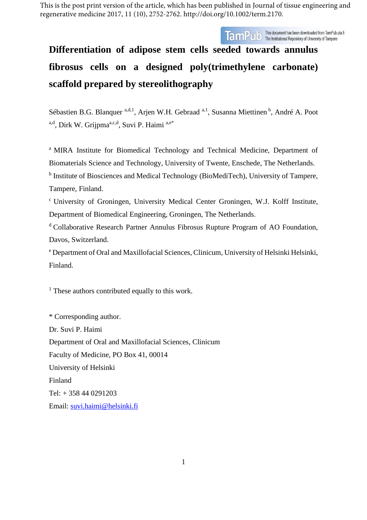This is the post print version of the article, which has been published in Journal of tissue engineering and regenerative medicine 2017, 11 (10), 2752-2762. http://doi.org/10.1002/term.2170.



# **Differentiation of adipose stem cells seeded towards annulus fibrosus cells on a designed poly(trimethylene carbonate) scaffold prepared by stereolithography**

Sébastien B.G. Blanquer <sup>a,d,1</sup>, Arjen W.H. Gebraad <sup>a,1</sup>, Susanna Miettinen <sup>b</sup>, André A. Poot a,d, Dirk W. Grijpma<sup>a,c,d</sup>, Suvi P. Haimi a,e\*

<sup>a</sup> MIRA Institute for Biomedical Technology and Technical Medicine, Department of Biomaterials Science and Technology, University of Twente, Enschede, The Netherlands. <sup>b</sup> Institute of Biosciences and Medical Technology (BioMediTech), University of Tampere, Tampere, Finland.

c University of Groningen, University Medical Center Groningen, W.J. Kolff Institute, Department of Biomedical Engineering, Groningen, The Netherlands.

<sup>d</sup> Collaborative Research Partner Annulus Fibrosus Rupture Program of AO Foundation, Davos, Switzerland.

<sup>e</sup> Department of Oral and Maxillofacial Sciences, Clinicum, University of Helsinki Helsinki, Finland.

 $<sup>1</sup>$  These authors contributed equally to this work.</sup>

\* Corresponding author. Dr. Suvi P. Haimi Department of Oral and Maxillofacial Sciences, Clinicum Faculty of Medicine, PO Box 41, 00014 University of Helsinki Finland Tel: + 358 44 0291203 Email: [suvi.haimi@helsinki.fi](mailto:suvi.haimi@helsinki.fi)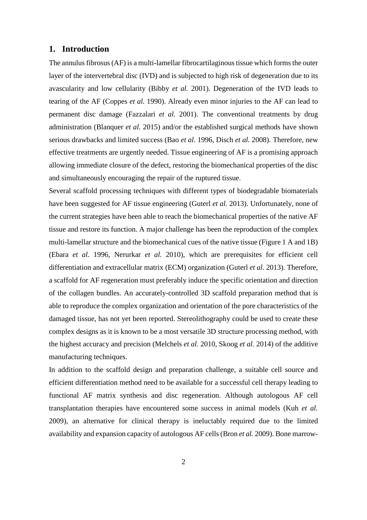# **1. Introduction**

The annulus fibrosus (AF) is a multi-lamellar fibrocartilaginous tissue which forms the outer layer of the intervertebral disc (IVD) and is subjected to high risk of degeneration due to its avascularity and low cellularity [\(Bibby](#page-17-0) *et al.* 2001). Degeneration of the IVD leads to tearing of the AF [\(Coppes](#page-18-0) *et al.* 1990). Already even minor injuries to the AF can lead to permanent disc damage [\(Fazzalari](#page-18-1) *et al.* 2001). The conventional treatments by drug administration [\(Blanquer](#page-17-1) *et al.* 2015) and/or the established surgical methods have shown serious drawbacks and limited success (Bao *et al.* [1996,](#page-17-2) [Disch](#page-18-2) *et al.* 2008). Therefore, new effective treatments are urgently needed. Tissue engineering of AF is a promising approach allowing immediate closure of the defect, restoring the biomechanical properties of the disc and simultaneously encouraging the repair of the ruptured tissue.

Several scaffold processing techniques with different types of biodegradable biomaterials have been suggested for AF tissue engineering [\(Guterl](#page-19-0) *et al.* 2013). Unfortunately, none of the current strategies have been able to reach the biomechanical properties of the native AF tissue and restore its function. A major challenge has been the reproduction of the complex multi-lamellar structure and the biomechanical cues of the native tissue (Figure 1 A and 1B) [\(Ebara](#page-18-3) *et al.* 1996, [Nerurkar](#page-20-0) *et al.* 2010), which are prerequisites for efficient cell differentiation and extracellular matrix (ECM) organization [\(Guterl](#page-19-0) *et al.* 2013). Therefore, a scaffold for AF regeneration must preferably induce the specific orientation and direction of the collagen bundles. An accurately-controlled 3D scaffold preparation method that is able to reproduce the complex organization and orientation of the pore characteristics of the damaged tissue, has not yet been reported. Stereolithography could be used to create these complex designs as it is known to be a most versatile 3D structure processing method, with the highest accuracy and precision [\(Melchels](#page-20-1) *et al.* 2010, [Skoog](#page-21-0) *et al.* 2014) of the additive manufacturing techniques.

In addition to the scaffold design and preparation challenge, a suitable cell source and efficient differentiation method need to be available for a successful cell therapy leading to functional AF matrix synthesis and disc regeneration. Although autologous AF cell transplantation therapies have encountered some success in animal models (Kuh *[et al.](#page-20-2)* [2009\)](#page-20-2), an alternative for clinical therapy is ineluctably required due to the limited availability and expansion capacity of autologous AF cells (Bron *et al.* [2009\)](#page-17-3). Bone marrow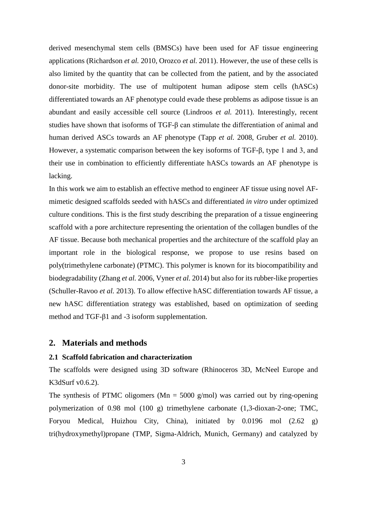derived mesenchymal stem cells (BMSCs) have been used for AF tissue engineering applications [\(Richardson](#page-21-1) *et al.* 2010, [Orozco](#page-21-2) *et al.* 2011). However, the use of these cells is also limited by the quantity that can be collected from the patient, and by the associated donor-site morbidity. The use of multipotent human adipose stem cells (hASCs) differentiated towards an AF phenotype could evade these problems as adipose tissue is an abundant and easily accessible cell source [\(Lindroos](#page-20-3) *et al.* 2011). Interestingly, recent studies have shown that isoforms of TGF-β can stimulate the differentiation of animal and human derived ASCs towards an AF phenotype [\(Tapp](#page-21-3) *et al.* 2008, [Gruber](#page-19-1) *et al.* 2010). However, a systematic comparison between the key isoforms of TGF-β, type 1 and 3, and their use in combination to efficiently differentiate hASCs towards an AF phenotype is lacking.

In this work we aim to establish an effective method to engineer AF tissue using novel AFmimetic designed scaffolds seeded with hASCs and differentiated *in vitro* under optimized culture conditions. This is the first study describing the preparation of a tissue engineering scaffold with a pore architecture representing the orientation of the collagen bundles of the AF tissue. Because both mechanical properties and the architecture of the scaffold play an important role in the biological response, we propose to use resins based on poly(trimethylene carbonate) (PTMC). This polymer is known for its biocompatibility and biodegradability [\(Zhang](#page-22-0) *et al.* 2006, [Vyner](#page-22-1) *et al.* 2014) but also for its rubber-like properties [\(Schuller-Ravoo](#page-21-4) *et al.* 2013). To allow effective hASC differentiation towards AF tissue, a new hASC differentiation strategy was established, based on optimization of seeding method and TGF-β1 and -3 isoform supplementation.

# **2. Materials and methods**

## **2.1 Scaffold fabrication and characterization**

The scaffolds were designed using 3D software (Rhinoceros 3D, McNeel Europe and K3dSurf v0.6.2).

The synthesis of PTMC oligomers ( $Mn = 5000$  g/mol) was carried out by ring-opening polymerization of 0.98 mol (100 g) trimethylene carbonate (1,3-dioxan-2-one; TMC, Foryou Medical, Huizhou City, China), initiated by 0.0196 mol (2.62 g) tri(hydroxymethyl)propane (TMP, Sigma-Aldrich, Munich, Germany) and catalyzed by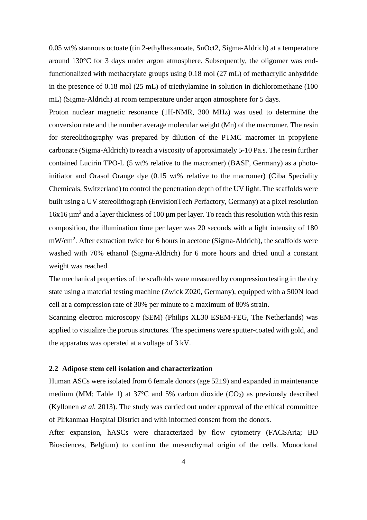0.05 wt% stannous octoate (tin 2-ethylhexanoate, SnOct2, Sigma-Aldrich) at a temperature around 130°C for 3 days under argon atmosphere. Subsequently, the oligomer was endfunctionalized with methacrylate groups using 0.18 mol (27 mL) of methacrylic anhydride in the presence of 0.18 mol (25 mL) of triethylamine in solution in dichloromethane (100 mL) (Sigma-Aldrich) at room temperature under argon atmosphere for 5 days.

Proton nuclear magnetic resonance (1H-NMR, 300 MHz) was used to determine the conversion rate and the number average molecular weight (Mn) of the macromer. The resin for stereolithography was prepared by dilution of the PTMC macromer in propylene carbonate (Sigma-Aldrich) to reach a viscosity of approximately 5-10 Pa.s. The resin further contained Lucirin TPO-L (5 wt% relative to the macromer) (BASF, Germany) as a photoinitiator and Orasol Orange dye (0.15 wt% relative to the macromer) (Ciba Speciality Chemicals, Switzerland) to control the penetration depth of the UV light. The scaffolds were built using a UV stereolithograph (EnvisionTech Perfactory, Germany) at a pixel resolution  $16x16 \mu m^2$  and a layer thickness of 100  $\mu$ m per layer. To reach this resolution with this resin composition, the illumination time per layer was 20 seconds with a light intensity of 180 mW/cm<sup>2</sup>. After extraction twice for 6 hours in acetone (Sigma-Aldrich), the scaffolds were washed with 70% ethanol (Sigma-Aldrich) for 6 more hours and dried until a constant weight was reached.

The mechanical properties of the scaffolds were measured by compression testing in the dry state using a material testing machine (Zwick Z020, Germany), equipped with a 500N load cell at a compression rate of 30% per minute to a maximum of 80% strain.

Scanning electron microscopy (SEM) (Philips XL30 ESEM-FEG, The Netherlands) was applied to visualize the porous structures. The specimens were sputter-coated with gold, and the apparatus was operated at a voltage of 3 kV.

# **2.2 Adipose stem cell isolation and characterization**

Human ASCs were isolated from 6 female donors (age 52±9) and expanded in maintenance medium (MM; Table 1) at  $37^{\circ}$ C and 5% carbon dioxide (CO<sub>2</sub>) as previously described [\(Kyllonen](#page-20-4) *et al.* 2013). The study was carried out under approval of the ethical committee of Pirkanmaa Hospital District and with informed consent from the donors.

After expansion, hASCs were characterized by flow cytometry (FACSAria; BD Biosciences, Belgium) to confirm the mesenchymal origin of the cells. Monoclonal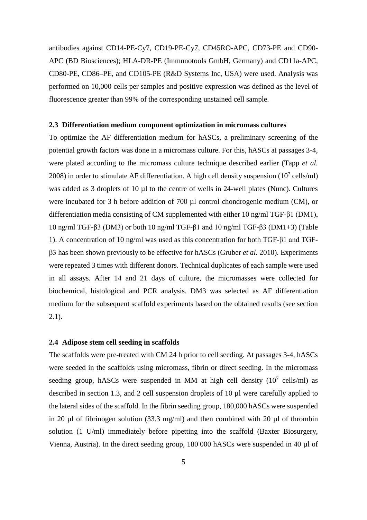antibodies against CD14-PE-Cy7, CD19-PE-Cy7, CD45RO-APC, CD73-PE and CD90- APC (BD Biosciences); HLA-DR-PE (Immunotools GmbH, Germany) and CD11a-APC, CD80-PE, CD86–PE, and CD105-PE (R&D Systems Inc, USA) were used. Analysis was performed on 10,000 cells per samples and positive expression was defined as the level of fluorescence greater than 99% of the corresponding unstained cell sample.

## **2.3 Differentiation medium component optimization in micromass cultures**

To optimize the AF differentiation medium for hASCs, a preliminary screening of the potential growth factors was done in a micromass culture. For this, hASCs at passages 3-4, were plated according to the micromass culture technique described earlier [\(Tapp](#page-21-3) *et al.* [2008\)](#page-21-3) in order to stimulate AF differentiation. A high cell density suspension  $(10^7 \text{ cells/ml})$ was added as 3 droplets of 10 µl to the centre of wells in 24-well plates (Nunc). Cultures were incubated for 3 h before addition of 700 µl control chondrogenic medium (CM), or differentiation media consisting of CM supplemented with either 10 ng/ml TGF-β1 (DM1), 10 ng/ml TGF-β3 (DM3) or both 10 ng/ml TGF-β1 and 10 ng/ml TGF-β3 (DM1+3) (Table 1). A concentration of 10 ng/ml was used as this concentration for both TGF-β1 and TGFβ3 has been shown previously to be effective for hASCs [\(Gruber](#page-19-1) *et al.* 2010). Experiments were repeated 3 times with different donors. Technical duplicates of each sample were used in all assays. After 14 and 21 days of culture, the micromasses were collected for biochemical, histological and PCR analysis. DM3 was selected as AF differentiation medium for the subsequent scaffold experiments based on the obtained results (see section 2.1).

# **2.4 Adipose stem cell seeding in scaffolds**

The scaffolds were pre-treated with CM 24 h prior to cell seeding. At passages 3-4, hASCs were seeded in the scaffolds using micromass, fibrin or direct seeding. In the micromass seeding group, hASCs were suspended in MM at high cell density  $(10^7 \text{ cells/ml})$  as described in section 1.3, and 2 cell suspension droplets of 10 µl were carefully applied to the lateral sides of the scaffold. In the fibrin seeding group, 180,000 hASCs were suspended in 20  $\mu$ l of fibrinogen solution (33.3 mg/ml) and then combined with 20  $\mu$ l of thrombin solution (1 U/ml) immediately before pipetting into the scaffold (Baxter Biosurgery, Vienna, Austria). In the direct seeding group, 180 000 hASCs were suspended in 40 µl of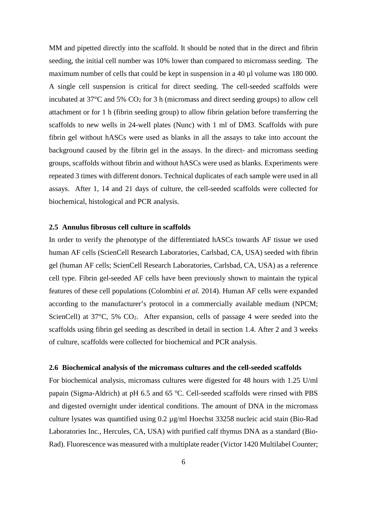MM and pipetted directly into the scaffold. It should be noted that in the direct and fibrin seeding, the initial cell number was 10% lower than compared to micromass seeding. The maximum number of cells that could be kept in suspension in a 40 µl volume was 180 000. A single cell suspension is critical for direct seeding. The cell-seeded scaffolds were incubated at  $37^{\circ}$ C and  $5\%$  CO<sub>2</sub> for 3 h (micromass and direct seeding groups) to allow cell attachment or for 1 h (fibrin seeding group) to allow fibrin gelation before transferring the scaffolds to new wells in 24-well plates (Nunc) with 1 ml of DM3. Scaffolds with pure fibrin gel without hASCs were used as blanks in all the assays to take into account the background caused by the fibrin gel in the assays. In the direct- and micromass seeding groups, scaffolds without fibrin and without hASCs were used as blanks. Experiments were repeated 3 times with different donors. Technical duplicates of each sample were used in all assays. After 1, 14 and 21 days of culture, the cell-seeded scaffolds were collected for biochemical, histological and PCR analysis.

## **2.5 Annulus fibrosus cell culture in scaffolds**

In order to verify the phenotype of the differentiated hASCs towards AF tissue we used human AF cells (ScienCell Research Laboratories, Carlsbad, CA, USA) seeded with fibrin gel (human AF cells; ScienCell Research Laboratories, Carlsbad, CA, USA) as a reference cell type. Fibrin gel-seeded AF cells have been previously shown to maintain the typical features of these cell populations [\(Colombini](#page-18-4) *et al.* 2014). Human AF cells were expanded according to the manufacturer's protocol in a commercially available medium (NPCM; ScienCell) at  $37^{\circ}$ C,  $5\%$  CO<sub>2</sub>. After expansion, cells of passage 4 were seeded into the scaffolds using fibrin gel seeding as described in detail in section 1.4. After 2 and 3 weeks of culture, scaffolds were collected for biochemical and PCR analysis.

## **2.6 Biochemical analysis of the micromass cultures and the cell-seeded scaffolds**

For biochemical analysis, micromass cultures were digested for 48 hours with 1.25 U/ml papain (Sigma-Aldrich) at pH 6.5 and 65 °C. Cell-seeded scaffolds were rinsed with PBS and digested overnight under identical conditions. The amount of DNA in the micromass culture lysates was quantified using 0.2 µg/ml Hoechst 33258 nucleic acid stain (Bio-Rad Laboratories Inc., Hercules, CA, USA) with purified calf thymus DNA as a standard (Bio-Rad). Fluorescence was measured with a multiplate reader (Victor 1420 Multilabel Counter;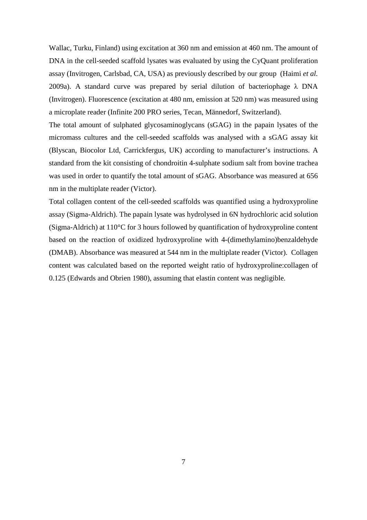Wallac, Turku, Finland) using excitation at 360 nm and emission at 460 nm. The amount of DNA in the cell-seeded scaffold lysates was evaluated by using the CyQuant proliferation assay (Invitrogen, Carlsbad, CA, USA) as previously described by our group [\(Haimi](#page-19-2) *et al.* [2009a\)](#page-19-2). A standard curve was prepared by serial dilution of bacteriophage  $\lambda$  DNA (Invitrogen). Fluorescence (excitation at 480 nm, emission at 520 nm) was measured using a microplate reader (Infinite 200 PRO series, Tecan, Männedorf, Switzerland).

The total amount of sulphated glycosaminoglycans (sGAG) in the papain lysates of the micromass cultures and the cell-seeded scaffolds was analysed with a sGAG assay kit (Blyscan, Biocolor Ltd, Carrickfergus, UK) according to manufacturer's instructions. A standard from the kit consisting of chondroitin 4-sulphate sodium salt from bovine trachea was used in order to quantify the total amount of sGAG. Absorbance was measured at 656 nm in the multiplate reader (Victor).

Total collagen content of the cell-seeded scaffolds was quantified using a hydroxyproline assay (Sigma-Aldrich). The papain lysate was hydrolysed in 6N hydrochloric acid solution (Sigma-Aldrich) at 110°C for 3 hours followed by quantification of hydroxyproline content based on the reaction of oxidized hydroxyproline with 4-(dimethylamino)benzaldehyde (DMAB). Absorbance was measured at 544 nm in the multiplate reader (Victor). Collagen content was calculated based on the reported weight ratio of hydroxyproline:collagen of 0.125 [\(Edwards and Obrien 1980\)](#page-18-5), assuming that elastin content was negligible.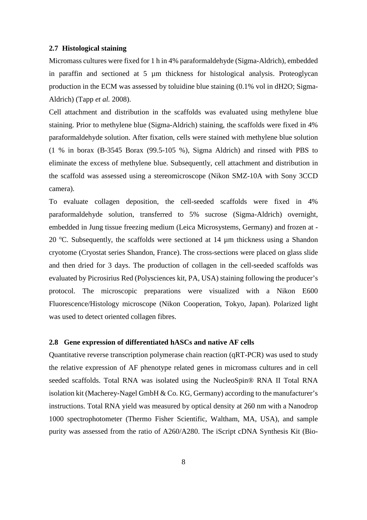## **2.7 Histological staining**

Micromass cultures were fixed for 1 h in 4% paraformaldehyde (Sigma-Aldrich), embedded in paraffin and sectioned at 5 µm thickness for histological analysis. Proteoglycan production in the ECM was assessed by toluidine blue staining (0.1% vol in dH2O; Sigma-Aldrich) [\(Tapp](#page-21-3) *et al.* 2008).

Cell attachment and distribution in the scaffolds was evaluated using methylene blue staining. Prior to methylene blue (Sigma-Aldrich) staining, the scaffolds were fixed in 4% paraformaldehyde solution. After fixation, cells were stained with methylene blue solution (1 % in borax (B-3545 Borax (99.5-105 %), Sigma Aldrich) and rinsed with PBS to eliminate the excess of methylene blue. Subsequently, cell attachment and distribution in the scaffold was assessed using a stereomicroscope (Nikon SMZ-10A with Sony 3CCD camera).

To evaluate collagen deposition, the cell-seeded scaffolds were fixed in 4% paraformaldehyde solution, transferred to 5% sucrose (Sigma-Aldrich) overnight, embedded in Jung tissue freezing medium (Leica Microsystems, Germany) and frozen at - 20 °C. Subsequently, the scaffolds were sectioned at 14  $\mu$ m thickness using a Shandon cryotome (Cryostat series Shandon, France). The cross-sections were placed on glass slide and then dried for 3 days. The production of collagen in the cell-seeded scaffolds was evaluated by Picrosirius Red (Polysciences kit, PA, USA) staining following the producer's protocol. The microscopic preparations were visualized with a Nikon E600 Fluorescence/Histology microscope (Nikon Cooperation, Tokyo, Japan). Polarized light was used to detect oriented collagen fibres.

#### **2.8 Gene expression of differentiated hASCs and native AF cells**

Quantitative reverse transcription polymerase chain reaction (qRT-PCR) was used to study the relative expression of AF phenotype related genes in micromass cultures and in cell seeded scaffolds. Total RNA was isolated using the NucleoSpin® RNA II Total RNA isolation kit (Macherey-Nagel GmbH  $\&$  Co. KG, Germany) according to the manufacturer's instructions. Total RNA yield was measured by optical density at 260 nm with a Nanodrop 1000 spectrophotometer (Thermo Fisher Scientific, Waltham, MA, USA), and sample purity was assessed from the ratio of A260/A280. The iScript cDNA Synthesis Kit (Bio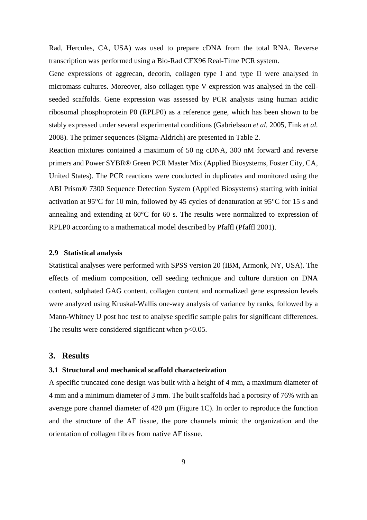Rad, Hercules, CA, USA) was used to prepare cDNA from the total RNA. Reverse transcription was performed using a Bio-Rad CFX96 Real-Time PCR system.

Gene expressions of aggrecan, decorin, collagen type I and type II were analysed in micromass cultures. Moreover, also collagen type V expression was analysed in the cellseeded scaffolds. Gene expression was assessed by PCR analysis using human acidic ribosomal phosphoprotein P0 (RPLP0) as a reference gene, which has been shown to be stably expressed under several experimental conditions [\(Gabrielsson](#page-19-3) *et al.* 2005, [Fink](#page-19-4) *et al.* [2008\)](#page-19-4). The primer sequences (Sigma-Aldrich) are presented in Table 2.

Reaction mixtures contained a maximum of 50 ng cDNA, 300 nM forward and reverse primers and Power SYBR® Green PCR Master Mix (Applied Biosystems, Foster City, CA, United States). The PCR reactions were conducted in duplicates and monitored using the ABI Prism® 7300 Sequence Detection System (Applied Biosystems) starting with initial activation at 95°C for 10 min, followed by 45 cycles of denaturation at 95°C for 15 s and annealing and extending at 60°C for 60 s. The results were normalized to expression of RPLP0 according to a mathematical model described by Pfaffl [\(Pfaffl 2001\)](#page-21-5).

## **2.9 Statistical analysis**

Statistical analyses were performed with SPSS version 20 (IBM, Armonk, NY, USA). The effects of medium composition, cell seeding technique and culture duration on DNA content, sulphated GAG content, collagen content and normalized gene expression levels were analyzed using Kruskal-Wallis one-way analysis of variance by ranks, followed by a Mann-Whitney U post hoc test to analyse specific sample pairs for significant differences. The results were considered significant when  $p<0.05$ .

## **3. Results**

# **3.1 Structural and mechanical scaffold characterization**

A specific truncated cone design was built with a height of 4 mm, a maximum diameter of 4 mm and a minimum diameter of 3 mm. The built scaffolds had a porosity of 76% with an average pore channel diameter of  $420 \mu m$  (Figure 1C). In order to reproduce the function and the structure of the AF tissue, the pore channels mimic the organization and the orientation of collagen fibres from native AF tissue.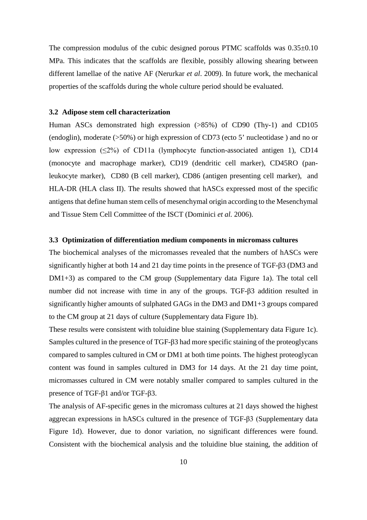The compression modulus of the cubic designed porous PTMC scaffolds was  $0.35\pm0.10$ MPa. This indicates that the scaffolds are flexible, possibly allowing shearing between different lamellae of the native AF (Nerurkar *et al*. 2009). In future work, the mechanical properties of the scaffolds during the whole culture period should be evaluated.

## **3.2 Adipose stem cell characterization**

Human ASCs demonstrated high expression (>85%) of CD90 (Thy-1) and CD105 (endoglin), moderate (>50%) or high expression of CD73 (ecto 5' nucleotidase ) and no or low expression (≤2%) of CD11a (lymphocyte function-associated antigen 1), CD14 (monocyte and macrophage marker), CD19 (dendritic cell marker), CD45RO (panleukocyte marker), CD80 (B cell marker), CD86 (antigen presenting cell marker), and HLA-DR (HLA class II). The results showed that hASCs expressed most of the specific antigens that define human stem cells of mesenchymal origin according to the Mesenchymal and Tissue Stem Cell Committee of the ISCT [\(Dominici](#page-18-6) *et al.* 2006).

# **3.3 Optimization of differentiation medium components in micromass cultures**

The biochemical analyses of the micromasses revealed that the numbers of hASCs were significantly higher at both 14 and 21 day time points in the presence of TGF-β3 (DM3 and DM1+3) as compared to the CM group (Supplementary data Figure 1a). The total cell number did not increase with time in any of the groups. TGF-β3 addition resulted in significantly higher amounts of sulphated GAGs in the DM3 and DM1+3 groups compared to the CM group at 21 days of culture (Supplementary data Figure 1b).

These results were consistent with toluidine blue staining (Supplementary data Figure 1c). Samples cultured in the presence of TGF-β3 had more specific staining of the proteoglycans compared to samples cultured in CM or DM1 at both time points. The highest proteoglycan content was found in samples cultured in DM3 for 14 days. At the 21 day time point, micromasses cultured in CM were notably smaller compared to samples cultured in the presence of TGF-β1 and/or TGF-β3.

The analysis of AF-specific genes in the micromass cultures at 21 days showed the highest aggrecan expressions in hASCs cultured in the presence of TGF-β3 (Supplementary data Figure 1d). However, due to donor variation, no significant differences were found. Consistent with the biochemical analysis and the toluidine blue staining, the addition of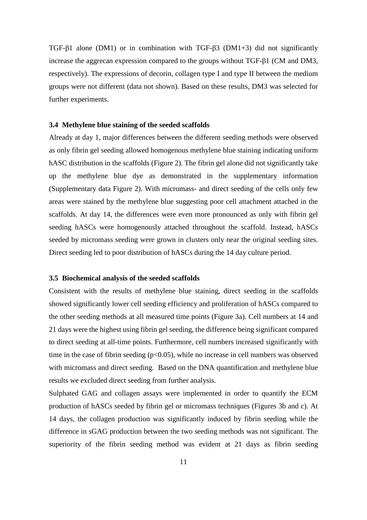TGF-β1 alone (DM1) or in combination with TGF-β3 (DM1+3) did not significantly increase the aggrecan expression compared to the groups without TGF-β1 (CM and DM3, respectively). The expressions of decorin, collagen type I and type II between the medium groups were not different (data not shown). Based on these results, DM3 was selected for further experiments.

## **3.4 Methylene blue staining of the seeded scaffolds**

Already at day 1, major differences between the different seeding methods were observed as only fibrin gel seeding allowed homogenous methylene blue staining indicating uniform hASC distribution in the scaffolds (Figure 2). The fibrin gel alone did not significantly take up the methylene blue dye as demonstrated in the supplementary information (Supplementary data Figure 2). With micromass- and direct seeding of the cells only few areas were stained by the methylene blue suggesting poor cell attachment attached in the scaffolds. At day 14, the differences were even more pronounced as only with fibrin gel seeding hASCs were homogenously attached throughout the scaffold. Instead, hASCs seeded by micromass seeding were grown in clusters only near the original seeding sites. Direct seeding led to poor distribution of hASCs during the 14 day culture period.

## **3.5 Biochemical analysis of the seeded scaffolds**

Consistent with the results of methylene blue staining, direct seeding in the scaffolds showed significantly lower cell seeding efficiency and proliferation of hASCs compared to the other seeding methods at all measured time points (Figure 3a). Cell numbers at 14 and 21 days were the highest using fibrin gel seeding, the difference being significant compared to direct seeding at all-time points. Furthermore, cell numbers increased significantly with time in the case of fibrin seeding  $(p<0.05)$ , while no increase in cell numbers was observed with micromass and direct seeding. Based on the DNA quantification and methylene blue results we excluded direct seeding from further analysis.

Sulphated GAG and collagen assays were implemented in order to quantify the ECM production of hASCs seeded by fibrin gel or micromass techniques (Figures 3b and c). At 14 days, the collagen production was significantly induced by fibrin seeding while the difference in sGAG production between the two seeding methods was not significant. The superiority of the fibrin seeding method was evident at 21 days as fibrin seeding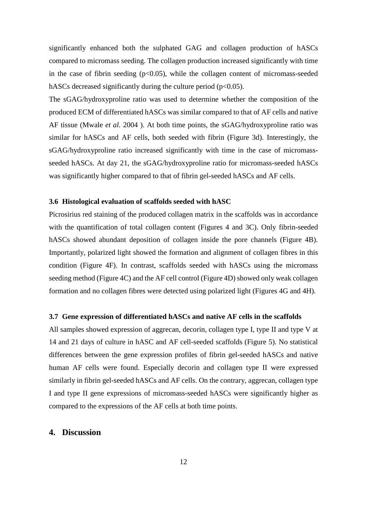significantly enhanced both the sulphated GAG and collagen production of hASCs compared to micromass seeding. The collagen production increased significantly with time in the case of fibrin seeding  $(p<0.05)$ , while the collagen content of micromass-seeded hASCs decreased significantly during the culture period ( $p<0.05$ ).

The sGAG/hydroxyproline ratio was used to determine whether the composition of the produced ECM of differentiated hASCs was similar compared to that of AF cells and native AF tissue [\(Mwale](#page-20-5) *et al.* 2004 ). At both time points, the sGAG/hydroxyproline ratio was similar for hASCs and AF cells, both seeded with fibrin (Figure 3d). Interestingly, the sGAG/hydroxyproline ratio increased significantly with time in the case of micromassseeded hASCs. At day 21, the sGAG/hydroxyproline ratio for micromass-seeded hASCs was significantly higher compared to that of fibrin gel-seeded hASCs and AF cells.

# **3.6 Histological evaluation of scaffolds seeded with hASC**

Picrosirius red staining of the produced collagen matrix in the scaffolds was in accordance with the quantification of total collagen content (Figures 4 and 3C). Only fibrin-seeded hASCs showed abundant deposition of collagen inside the pore channels (Figure 4B). Importantly, polarized light showed the formation and alignment of collagen fibres in this condition (Figure 4F). In contrast, scaffolds seeded with hASCs using the micromass seeding method (Figure 4C) and the AF cell control (Figure 4D) showed only weak collagen formation and no collagen fibres were detected using polarized light (Figures 4G and 4H).

## **3.7 Gene expression of differentiated hASCs and native AF cells in the scaffolds**

All samples showed expression of aggrecan, decorin, collagen type I, type II and type V at 14 and 21 days of culture in hASC and AF cell-seeded scaffolds (Figure 5). No statistical differences between the gene expression profiles of fibrin gel-seeded hASCs and native human AF cells were found. Especially decorin and collagen type II were expressed similarly in fibrin gel-seeded hASCs and AF cells. On the contrary, aggrecan, collagen type I and type II gene expressions of micromass-seeded hASCs were significantly higher as compared to the expressions of the AF cells at both time points.

# **4. Discussion**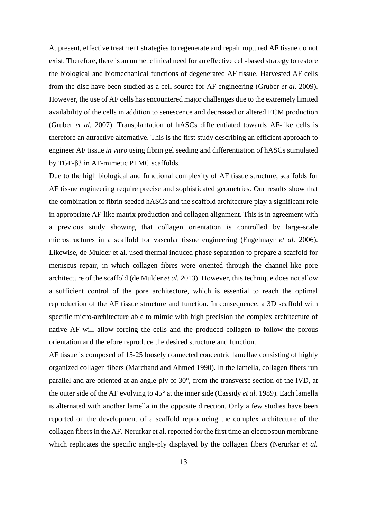At present, effective treatment strategies to regenerate and repair ruptured AF tissue do not exist. Therefore, there is an unmet clinical need for an effective cell-based strategy to restore the biological and biomechanical functions of degenerated AF tissue. Harvested AF cells from the disc have been studied as a cell source for AF engineering [\(Gruber](#page-19-5) *et al.* 2009). However, the use of AF cells has encountered major challenges due to the extremely limited availability of the cells in addition to senescence and decreased or altered ECM production [\(Gruber](#page-19-6) *et al.* 2007). Transplantation of hASCs differentiated towards AF-like cells is therefore an attractive alternative. This is the first study describing an efficient approach to engineer AF tissue *in vitro* using fibrin gel seeding and differentiation of hASCs stimulated by TGF-β3 in AF-mimetic PTMC scaffolds.

Due to the high biological and functional complexity of AF tissue structure, scaffolds for AF tissue engineering require precise and sophisticated geometries. Our results show that the combination of fibrin seeded hASCs and the scaffold architecture play a significant role in appropriate AF-like matrix production and collagen alignment. This is in agreement with a previous study showing that collagen orientation is controlled by large-scale microstructures in a scaffold for vascular tissue engineering [\(Engelmayr](#page-18-7) *et al.* 2006). Likewise, de Mulder et al. used thermal induced phase separation to prepare a scaffold for meniscus repair, in which collagen fibres were oriented through the channel-like pore architecture of the scaffold [\(de Mulder](#page-18-8) *et al.* 2013). However, this technique does not allow a sufficient control of the pore architecture, which is essential to reach the optimal reproduction of the AF tissue structure and function. In consequence, a 3D scaffold with specific micro-architecture able to mimic with high precision the complex architecture of native AF will allow forcing the cells and the produced collagen to follow the porous orientation and therefore reproduce the desired structure and function.

AF tissue is composed of 15-25 loosely connected concentric lamellae consisting of highly organized collagen fibers [\(Marchand and Ahmed 1990\)](#page-20-6). In the lamella, collagen fibers run parallel and are oriented at an angle-ply of 30°, from the transverse section of the IVD, at the outer side of the AF evolving to 45° at the inner side [\(Cassidy](#page-18-9) *et al.* 1989). Each lamella is alternated with another lamella in the opposite direction. Only a few studies have been reported on the development of a scaffold reproducing the complex architecture of the collagen fibers in the AF. Nerurkar et al. reported for the first time an electrospun membrane which replicates the specific angle-ply displayed by the collagen fibers [\(Nerurkar](#page-20-7) *et al.*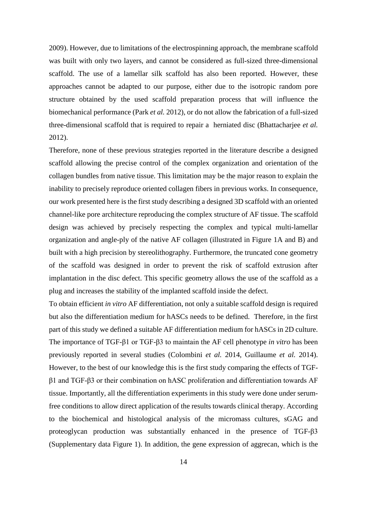[2009\)](#page-20-7). However, due to limitations of the electrospinning approach, the membrane scaffold was built with only two layers, and cannot be considered as full-sized three-dimensional scaffold. The use of a lamellar silk scaffold has also been reported. However, these approaches cannot be adapted to our purpose, either due to the isotropic random pore structure obtained by the used scaffold preparation process that will influence the biomechanical performance (Park *et al.* [2012\)](#page-21-6), or do not allow the fabrication of a full-sized three-dimensional scaffold that is required to repair a herniated disc [\(Bhattacharjee](#page-17-4) *et al.* [2012\)](#page-17-4).

Therefore, none of these previous strategies reported in the literature describe a designed scaffold allowing the precise control of the complex organization and orientation of the collagen bundles from native tissue. This limitation may be the major reason to explain the inability to precisely reproduce oriented collagen fibers in previous works. In consequence, our work presented here is the first study describing a designed 3D scaffold with an oriented channel-like pore architecture reproducing the complex structure of AF tissue. The scaffold design was achieved by precisely respecting the complex and typical multi-lamellar organization and angle-ply of the native AF collagen (illustrated in Figure 1A and B) and built with a high precision by stereolithography. Furthermore, the truncated cone geometry of the scaffold was designed in order to prevent the risk of scaffold extrusion after implantation in the disc defect. This specific geometry allows the use of the scaffold as a plug and increases the stability of the implanted scaffold inside the defect.

To obtain efficient *in vitro* AF differentiation, not only a suitable scaffold design is required but also the differentiation medium for hASCs needs to be defined. Therefore, in the first part of this study we defined a suitable AF differentiation medium for hASCs in 2D culture. The importance of TGF-β1 or TGF-β3 to maintain the AF cell phenotype *in vitro* has been previously reported in several studies [\(Colombini](#page-18-4) *et al.* 2014, [Guillaume](#page-19-7) *et al.* 2014). However, to the best of our knowledge this is the first study comparing the effects of TGFβ1 and TGF-β3 or their combination on hASC proliferation and differentiation towards AF tissue. Importantly, all the differentiation experiments in this study were done under serumfree conditions to allow direct application of the results towards clinical therapy. According to the biochemical and histological analysis of the micromass cultures, sGAG and proteoglycan production was substantially enhanced in the presence of TGF-β3 (Supplementary data Figure 1). In addition, the gene expression of aggrecan, which is the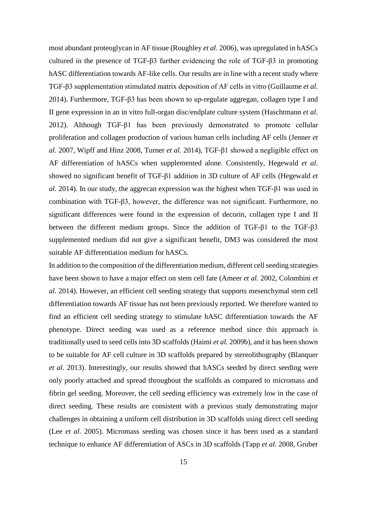most abundant proteoglycan in AF tissue [\(Roughley](#page-21-7) *et al.* 2006), was upregulated in hASCs cultured in the presence of TGF-β3 further evidencing the role of TGF-β3 in promoting hASC differentiation towards AF-like cells. Our results are in line with a recent study where TGF-β3 supplementation stimulated matrix deposition of AF cells in vitro [\(Guillaume](#page-19-7) *et al.* [2014\)](#page-19-7). Furthermore, TGF-β3 has been shown to up-regulate aggregan, collagen type I and II gene expression in an in vitro full-organ disc/endplate culture system [\(Haschtmann](#page-19-8) *et al.* [2012\)](#page-19-8). Although TGF-β1 has been previously demonstrated to promote cellular proliferation and collagen production of various human cells including AF cells [\(Jenner](#page-20-8) *et al.* [2007,](#page-20-8) [Wipff and Hinz 2008,](#page-22-2) [Turner](#page-22-3) *et al.* 2014), TGF-β1 showed a negligible effect on AF differentiation of hASCs when supplemented alone. Consistently, Hegewald *et al.* showed no significant benefit of TGF-β1 addition in 3D culture of AF cells [\(Hegewald](#page-20-9) *et al.* [2014\)](#page-20-9). In our study, the aggrecan expression was the highest when TGF-β1 was used in combination with TGF-β3, however, the difference was not significant. Furthermore, no significant differences were found in the expression of decorin, collagen type I and II between the different medium groups. Since the addition of TGF-β1 to the TGF-β3 supplemented medium did not give a significant benefit, DM3 was considered the most suitable AF differentiation medium for hASCs.

In addition to the composition of the differentiation medium, different cell seeding strategies have been shown to have a major effect on stem cell fate [\(Ameer](#page-17-5) *et al.* 2002, [Colombini](#page-18-4) *et al.* [2014\)](#page-18-4). However, an efficient cell seeding strategy that supports mesenchymal stem cell differentiation towards AF tissue has not been previously reported. We therefore wanted to find an efficient cell seeding strategy to stimulate hASC differentiation towards the AF phenotype. Direct seeding was used as a reference method since this approach is traditionally used to seed cells into 3D scaffolds (Haimi *et al.* [2009b\)](#page-19-9), and it has been shown to be suitable for AF cell culture in 3D scaffolds prepared by stereolithography [\(Blanquer](#page-17-6) *et al.* [2013\)](#page-17-6). Interestingly, our results showed that hASCs seeded by direct seeding were only poorly attached and spread throughout the scaffolds as compared to micromass and fibrin gel seeding. Moreover, the cell seeding efficiency was extremely low in the case of direct seeding. These results are consistent with a previous study demonstrating major challenges in obtaining a uniform cell distribution in 3D scaffolds using direct cell seeding (Lee *et al.* [2005\)](#page-20-10). Micromass seeding was chosen since it has been used as a standard technique to enhance AF differentiation of ASCs in 3D scaffolds [\(Tapp](#page-21-3) *et al.* 2008, [Gruber](#page-19-1)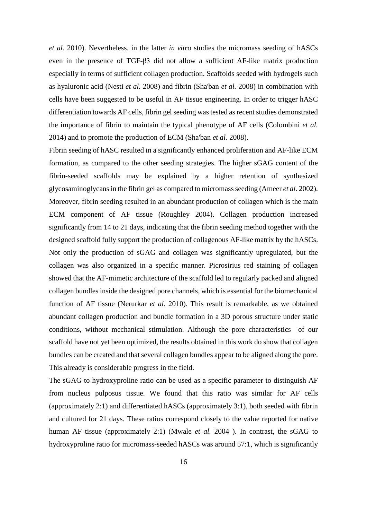*et al.* [2010\)](#page-19-1). Nevertheless, in the latter *in vitro* studies the micromass seeding of hASCs even in the presence of TGF-β3 did not allow a sufficient AF-like matrix production especially in terms of sufficient collagen production. Scaffolds seeded with hydrogels such as hyaluronic acid [\(Nesti](#page-21-8) *et al.* 2008) and fibrin [\(Sha'ban](#page-21-9) *et al.* 2008) in combination with cells have been suggested to be useful in AF tissue engineering. In order to trigger hASC differentiation towards AF cells, fibrin gel seeding was tested as recent studies demonstrated the importance of fibrin to maintain the typical phenotype of AF cells [\(Colombini](#page-18-4) *et al.* [2014\)](#page-18-4) and to promote the production of ECM [\(Sha'ban](#page-21-9) *et al.* 2008).

Fibrin seeding of hASC resulted in a significantly enhanced proliferation and AF-like ECM formation, as compared to the other seeding strategies. The higher sGAG content of the fibrin-seeded scaffolds may be explained by a higher retention of synthesized glycosaminoglycans in the fibrin gel as compared to micromass seeding [\(Ameer](#page-17-5) *et al.* 2002). Moreover, fibrin seeding resulted in an abundant production of collagen which is the main ECM component of AF tissue [\(Roughley 2004\)](#page-21-10). Collagen production increased significantly from 14 to 21 days, indicating that the fibrin seeding method together with the designed scaffold fully support the production of collagenous AF-like matrix by the hASCs. Not only the production of sGAG and collagen was significantly upregulated, but the collagen was also organized in a specific manner. Picrosirius red staining of collagen showed that the AF-mimetic architecture of the scaffold led to regularly packed and aligned collagen bundles inside the designed pore channels, which is essential for the biomechanical function of AF tissue [\(Nerurkar](#page-20-0) *et al.* 2010). This result is remarkable, as we obtained abundant collagen production and bundle formation in a 3D porous structure under static conditions, without mechanical stimulation. Although the pore characteristics of our scaffold have not yet been optimized, the results obtained in this work do show that collagen bundles can be created and that several collagen bundles appear to be aligned along the pore. This already is considerable progress in the field.

The sGAG to hydroxyproline ratio can be used as a specific parameter to distinguish AF from nucleus pulposus tissue. We found that this ratio was similar for AF cells (approximately 2:1) and differentiated hASCs (approximately 3:1), both seeded with fibrin and cultured for 21 days. These ratios correspond closely to the value reported for native human AF tissue (approximately 2:1) [\(Mwale](#page-20-5) *et al.* 2004 ). In contrast, the sGAG to hydroxyproline ratio for micromass-seeded hASCs was around 57:1, which is significantly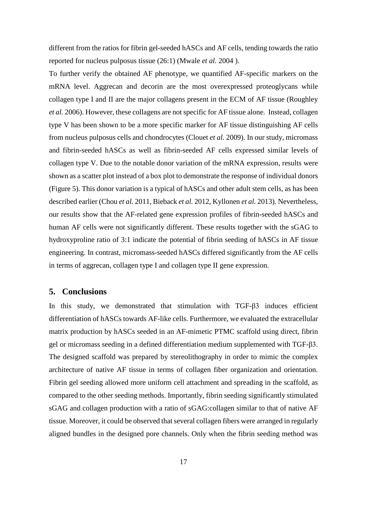different from the ratios for fibrin gel-seeded hASCs and AF cells, tending towards the ratio reported for nucleus pulposus tissue (26:1) [\(Mwale](#page-20-5) *et al.* 2004 ).

To further verify the obtained AF phenotype, we quantified AF-specific markers on the mRNA level. Aggrecan and decorin are the most overexpressed proteoglycans while collagen type I and II are the major collagens present in the ECM of AF tissue [\(Roughley](#page-21-7) *et al.* [2006\)](#page-21-7). However, these collagens are not specific for AF tissue alone. Instead, collagen type V has been shown to be a more specific marker for AF tissue distinguishing AF cells from nucleus pulposus cells and chondrocytes [\(Clouet](#page-18-10) *et al.* 2009). In our study, micromass and fibrin-seeded hASCs as well as fibrin-seeded AF cells expressed similar levels of collagen type V. Due to the notable donor variation of the mRNA expression, results were shown as a scatter plot instead of a box plot to demonstrate the response of individual donors (Figure 5). This donor variation is a typical of hASCs and other adult stem cells, as has been described earlier [\(Chou](#page-18-11) *et al.* 2011, [Bieback](#page-17-7) *et al.* 2012, [Kyllonen](#page-20-4) *et al.* 2013). Nevertheless, our results show that the AF-related gene expression profiles of fibrin-seeded hASCs and human AF cells were not significantly different. These results together with the sGAG to hydroxyproline ratio of 3:1 indicate the potential of fibrin seeding of hASCs in AF tissue engineering. In contrast, micromass-seeded hASCs differed significantly from the AF cells in terms of aggrecan, collagen type I and collagen type II gene expression.

# **5. Conclusions**

In this study, we demonstrated that stimulation with TGF-β3 induces efficient differentiation of hASCs towards AF-like cells. Furthermore, we evaluated the extracellular matrix production by hASCs seeded in an AF-mimetic PTMC scaffold using direct, fibrin gel or micromass seeding in a defined differentiation medium supplemented with TGF-β3. The designed scaffold was prepared by stereolithography in order to mimic the complex architecture of native AF tissue in terms of collagen fiber organization and orientation. Fibrin gel seeding allowed more uniform cell attachment and spreading in the scaffold, as compared to the other seeding methods. Importantly, fibrin seeding significantly stimulated sGAG and collagen production with a ratio of sGAG:collagen similar to that of native AF tissue. Moreover, it could be observed that several collagen fibers were arranged in regularly aligned bundles in the designed pore channels. Only when the fibrin seeding method was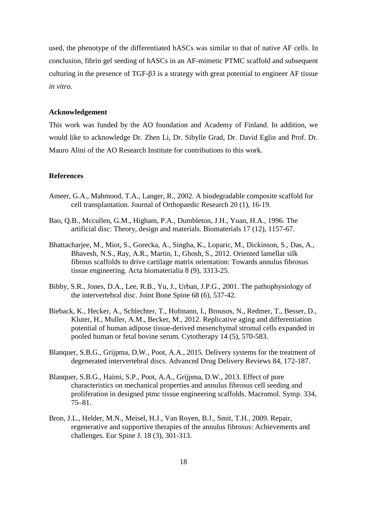used, the phenotype of the differentiated hASCs was similar to that of native AF cells. In conclusion, fibrin gel seeding of hASCs in an AF-mimetic PTMC scaffold and subsequent culturing in the presence of TGF-β3 is a strategy with great potential to engineer AF tissue *in vitro*.

## **Acknowledgement**

This work was funded by the AO foundation and Academy of Finland. In addition, we would like to acknowledge Dr. Zhen Li, Dr. Sibylle Grad, Dr. David Eglin and Prof. Dr. Mauro Alini of the AO Research Institute for contributions to this work.

## **References**

- <span id="page-17-5"></span>Ameer, G.A., Mahmood, T.A., Langer, R., 2002. A biodegradable composite scaffold for cell transplantation. Journal of Orthopaedic Research 20 (1), 16-19.
- <span id="page-17-2"></span>Bao, Q.B., Mccullen, G.M., Higham, P.A., Dumbleton, J.H., Yuan, H.A., 1996. The artificial disc: Theory, design and materials. Biomaterials 17 (12), 1157-67.
- <span id="page-17-4"></span>Bhattacharjee, M., Miot, S., Gorecka, A., Singha, K., Loparic, M., Dickinson, S., Das, A., Bhavesh, N.S., Ray, A.R., Martin, I., Ghosh, S., 2012. Oriented lamellar silk fibrous scaffolds to drive cartilage matrix orientation: Towards annulus fibrosus tissue engineering. Acta biomaterialia 8 (9), 3313-25.
- <span id="page-17-0"></span>Bibby, S.R., Jones, D.A., Lee, R.B., Yu, J., Urban, J.P.G., 2001. The pathophysiology of the intervertebral disc. Joint Bone Spine 68 (6), 537-42.
- <span id="page-17-7"></span>Bieback, K., Hecker, A., Schlechter, T., Hofmann, I., Brousos, N., Redmer, T., Besser, D., Kluter, H., Muller, A.M., Becker, M., 2012. Replicative aging and differentiation potential of human adipose tissue-derived mesenchymal stromal cells expanded in pooled human or fetal bovine serum. Cytotherapy 14 (5), 570-583.
- <span id="page-17-1"></span>Blanquer, S.B.G., Grijpma, D.W., Poot, A.A., 2015. Delivery systems for the treatment of degenerated intervertebral discs. Advanced Drug Delivery Reviews 84, 172-187.
- <span id="page-17-6"></span>Blanquer, S.B.G., Haimi, S.P., Poot, A.A., Grijpma, D.W., 2013. Effect of pore characteristics on mechanical properties and annulus fibrosus cell seeding and proliferation in designed ptmc tissue engineering scaffolds. Macromol. Symp. 334, 75–81.
- <span id="page-17-3"></span>Bron, J.L., Helder, M.N., Meisel, H.J., Van Royen, B.J., Smit, T.H., 2009. Repair, regenerative and supportive therapies of the annulus fibrosus: Achievements and challenges. Eur Spine J. 18 (3), 301-313.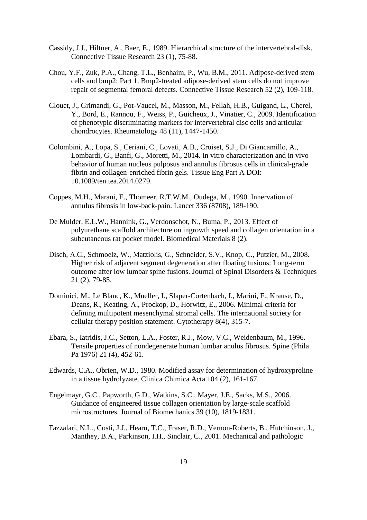- <span id="page-18-9"></span>Cassidy, J.J., Hiltner, A., Baer, E., 1989. Hierarchical structure of the intervertebral-disk. Connective Tissue Research 23 (1), 75-88.
- <span id="page-18-11"></span>Chou, Y.F., Zuk, P.A., Chang, T.L., Benhaim, P., Wu, B.M., 2011. Adipose-derived stem cells and bmp2: Part 1. Bmp2-treated adipose-derived stem cells do not improve repair of segmental femoral defects. Connective Tissue Research 52 (2), 109-118.
- <span id="page-18-10"></span>Clouet, J., Grimandi, G., Pot-Vaucel, M., Masson, M., Fellah, H.B., Guigand, L., Cherel, Y., Bord, E., Rannou, F., Weiss, P., Guicheux, J., Vinatier, C., 2009. Identification of phenotypic discriminating markers for intervertebral disc cells and articular chondrocytes. Rheumatology 48 (11), 1447-1450.
- <span id="page-18-4"></span>Colombini, A., Lopa, S., Ceriani, C., Lovati, A.B., Croiset, S.J., Di Giancamillo, A., Lombardi, G., Banfi, G., Moretti, M., 2014. In vitro characterization and in vivo behavior of human nucleus pulposus and annulus fibrosus cells in clinical-grade fibrin and collagen-enriched fibrin gels. Tissue Eng Part A DOI: 10.1089/ten.tea.2014.0279.
- <span id="page-18-0"></span>Coppes, M.H., Marani, E., Thomeer, R.T.W.M., Oudega, M., 1990. Innervation of annulus fibrosis in low-back-pain. Lancet 336 (8708), 189-190.
- <span id="page-18-8"></span>De Mulder, E.L.W., Hannink, G., Verdonschot, N., Buma, P., 2013. Effect of polyurethane scaffold architecture on ingrowth speed and collagen orientation in a subcutaneous rat pocket model. Biomedical Materials 8 (2).
- <span id="page-18-2"></span>Disch, A.C., Schmoelz, W., Matziolis, G., Schneider, S.V., Knop, C., Putzier, M., 2008. Higher risk of adjacent segment degeneration after floating fusions: Long-term outcome after low lumbar spine fusions. Journal of Spinal Disorders & Techniques 21 (2), 79-85.
- <span id="page-18-6"></span>Dominici, M., Le Blanc, K., Mueller, I., Slaper-Cortenbach, I., Marini, F., Krause, D., Deans, R., Keating, A., Prockop, D., Horwitz, E., 2006. Minimal criteria for defining multipotent mesenchymal stromal cells. The international society for cellular therapy position statement. Cytotherapy 8(4), 315-7.
- <span id="page-18-3"></span>Ebara, S., Iatridis, J.C., Setton, L.A., Foster, R.J., Mow, V.C., Weidenbaum, M., 1996. Tensile properties of nondegenerate human lumbar anulus fibrosus. Spine (Phila Pa 1976) 21 (4), 452-61.
- <span id="page-18-5"></span>Edwards, C.A., Obrien, W.D., 1980. Modified assay for determination of hydroxyproline in a tissue hydrolyzate. Clinica Chimica Acta 104 (2), 161-167.
- <span id="page-18-7"></span>Engelmayr, G.C., Papworth, G.D., Watkins, S.C., Mayer, J.E., Sacks, M.S., 2006. Guidance of engineered tissue collagen orientation by large-scale scaffold microstructures. Journal of Biomechanics 39 (10), 1819-1831.
- <span id="page-18-1"></span>Fazzalari, N.L., Costi, J.J., Hearn, T.C., Fraser, R.D., Vernon-Roberts, B., Hutchinson, J., Manthey, B.A., Parkinson, I.H., Sinclair, C., 2001. Mechanical and pathologic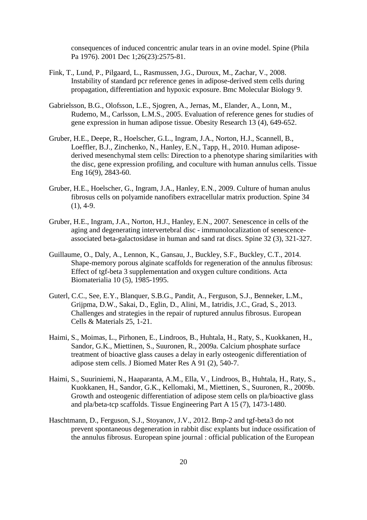consequences of induced concentric anular tears in an ovine model. Spine (Phila Pa 1976). 2001 Dec 1;26(23):2575-81.

- <span id="page-19-4"></span>Fink, T., Lund, P., Pilgaard, L., Rasmussen, J.G., Duroux, M., Zachar, V., 2008. Instability of standard pcr reference genes in adipose-derived stem cells during propagation, differentiation and hypoxic exposure. Bmc Molecular Biology 9.
- <span id="page-19-3"></span>Gabrielsson, B.G., Olofsson, L.E., Sjogren, A., Jernas, M., Elander, A., Lonn, M., Rudemo, M., Carlsson, L.M.S., 2005. Evaluation of reference genes for studies of gene expression in human adipose tissue. Obesity Research 13 (4), 649-652.
- <span id="page-19-1"></span>Gruber, H.E., Deepe, R., Hoelscher, G.L., Ingram, J.A., Norton, H.J., Scannell, B., Loeffler, B.J., Zinchenko, N., Hanley, E.N., Tapp, H., 2010. Human adiposederived mesenchymal stem cells: Direction to a phenotype sharing similarities with the disc, gene expression profiling, and coculture with human annulus cells. Tissue Eng 16(9), 2843-60.
- <span id="page-19-5"></span>Gruber, H.E., Hoelscher, G., Ingram, J.A., Hanley, E.N., 2009. Culture of human anulus fibrosus cells on polyamide nanofibers extracellular matrix production. Spine 34  $(1), 4-9.$
- <span id="page-19-6"></span>Gruber, H.E., Ingram, J.A., Norton, H.J., Hanley, E.N., 2007. Senescence in cells of the aging and degenerating intervertebral disc - immunolocalization of senescenceassociated beta-galactosidase in human and sand rat discs. Spine 32 (3), 321-327.
- <span id="page-19-7"></span>Guillaume, O., Daly, A., Lennon, K., Gansau, J., Buckley, S.F., Buckley, C.T., 2014. Shape-memory porous alginate scaffolds for regeneration of the annulus fibrosus: Effect of tgf-beta 3 supplementation and oxygen culture conditions. Acta Biomaterialia 10 (5), 1985-1995.
- <span id="page-19-0"></span>Guterl, C.C., See, E.Y., Blanquer, S.B.G., Pandit, A., Ferguson, S.J., Benneker, L.M., Grijpma, D.W., Sakai, D., Eglin, D., Alini, M., Iatridis, J.C., Grad, S., 2013. Challenges and strategies in the repair of ruptured annulus fibrosus. European Cells & Materials 25, 1-21.
- <span id="page-19-2"></span>Haimi, S., Moimas, L., Pirhonen, E., Lindroos, B., Huhtala, H., Raty, S., Kuokkanen, H., Sandor, G.K., Miettinen, S., Suuronen, R., 2009a. Calcium phosphate surface treatment of bioactive glass causes a delay in early osteogenic differentiation of adipose stem cells. J Biomed Mater Res A 91 (2), 540-7.
- <span id="page-19-9"></span>Haimi, S., Suuriniemi, N., Haaparanta, A.M., Ella, V., Lindroos, B., Huhtala, H., Raty, S., Kuokkanen, H., Sandor, G.K., Kellomaki, M., Miettinen, S., Suuronen, R., 2009b. Growth and osteogenic differentiation of adipose stem cells on pla/bioactive glass and pla/beta-tcp scaffolds. Tissue Engineering Part A 15 (7), 1473-1480.
- <span id="page-19-8"></span>Haschtmann, D., Ferguson, S.J., Stoyanov, J.V., 2012. Bmp-2 and tgf-beta3 do not prevent spontaneous degeneration in rabbit disc explants but induce ossification of the annulus fibrosus. European spine journal : official publication of the European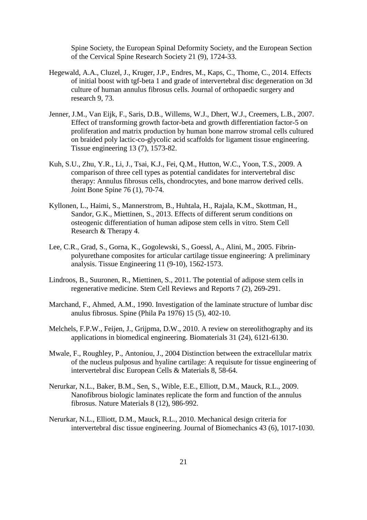Spine Society, the European Spinal Deformity Society, and the European Section of the Cervical Spine Research Society 21 (9), 1724-33.

- <span id="page-20-9"></span>Hegewald, A.A., Cluzel, J., Kruger, J.P., Endres, M., Kaps, C., Thome, C., 2014. Effects of initial boost with tgf-beta 1 and grade of intervertebral disc degeneration on 3d culture of human annulus fibrosus cells. Journal of orthopaedic surgery and research 9, 73.
- <span id="page-20-8"></span>Jenner, J.M., Van Eijk, F., Saris, D.B., Willems, W.J., Dhert, W.J., Creemers, L.B., 2007. Effect of transforming growth factor-beta and growth differentiation factor-5 on proliferation and matrix production by human bone marrow stromal cells cultured on braided poly lactic-co-glycolic acid scaffolds for ligament tissue engineering. Tissue engineering 13 (7), 1573-82.
- <span id="page-20-2"></span>Kuh, S.U., Zhu, Y.R., Li, J., Tsai, K.J., Fei, Q.M., Hutton, W.C., Yoon, T.S., 2009. A comparison of three cell types as potential candidates for intervertebral disc therapy: Annulus fibrosus cells, chondrocytes, and bone marrow derived cells. Joint Bone Spine 76 (1), 70-74.
- <span id="page-20-4"></span>Kyllonen, L., Haimi, S., Mannerstrom, B., Huhtala, H., Rajala, K.M., Skottman, H., Sandor, G.K., Miettinen, S., 2013. Effects of different serum conditions on osteogenic differentiation of human adipose stem cells in vitro. Stem Cell Research & Therapy 4.
- <span id="page-20-10"></span>Lee, C.R., Grad, S., Gorna, K., Gogolewski, S., Goessl, A., Alini, M., 2005. Fibrinpolyurethane composites for articular cartilage tissue engineering: A preliminary analysis. Tissue Engineering 11 (9-10), 1562-1573.
- <span id="page-20-3"></span>Lindroos, B., Suuronen, R., Miettinen, S., 2011. The potential of adipose stem cells in regenerative medicine. Stem Cell Reviews and Reports 7 (2), 269-291.
- <span id="page-20-6"></span>Marchand, F., Ahmed, A.M., 1990. Investigation of the laminate structure of lumbar disc anulus fibrosus. Spine (Phila Pa 1976) 15 (5), 402-10.
- <span id="page-20-1"></span>Melchels, F.P.W., Feijen, J., Grijpma, D.W., 2010. A review on stereolithography and its applications in biomedical engineering. Biomaterials 31 (24), 6121-6130.
- <span id="page-20-5"></span>Mwale, F., Roughley, P., Antoniou, J., 2004 Distinction between the extracellular matrix of the nucleus pulposus and hyaline cartilage: A requisute for tissue engineering of intervertebral disc European Cells & Materials 8, 58-64.
- <span id="page-20-7"></span>Nerurkar, N.L., Baker, B.M., Sen, S., Wible, E.E., Elliott, D.M., Mauck, R.L., 2009. Nanofibrous biologic laminates replicate the form and function of the annulus fibrosus. Nature Materials 8 (12), 986-992.
- <span id="page-20-0"></span>Nerurkar, N.L., Elliott, D.M., Mauck, R.L., 2010. Mechanical design criteria for intervertebral disc tissue engineering. Journal of Biomechanics 43 (6), 1017-1030.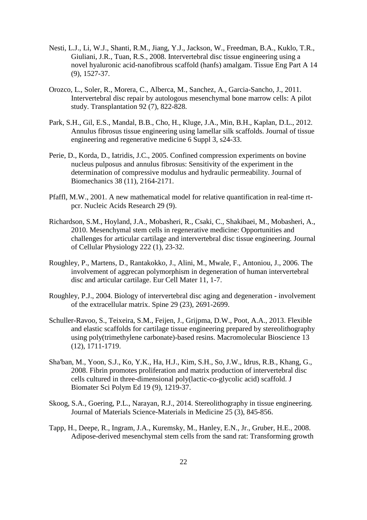- <span id="page-21-8"></span>Nesti, L.J., Li, W.J., Shanti, R.M., Jiang, Y.J., Jackson, W., Freedman, B.A., Kuklo, T.R., Giuliani, J.R., Tuan, R.S., 2008. Intervertebral disc tissue engineering using a novel hyaluronic acid-nanofibrous scaffold (hanfs) amalgam. Tissue Eng Part A 14 (9), 1527-37.
- <span id="page-21-2"></span>Orozco, L., Soler, R., Morera, C., Alberca, M., Sanchez, A., Garcia-Sancho, J., 2011. Intervertebral disc repair by autologous mesenchymal bone marrow cells: A pilot study. Transplantation 92 (7), 822-828.
- <span id="page-21-6"></span>Park, S.H., Gil, E.S., Mandal, B.B., Cho, H., Kluge, J.A., Min, B.H., Kaplan, D.L., 2012. Annulus fibrosus tissue engineering using lamellar silk scaffolds. Journal of tissue engineering and regenerative medicine 6 Suppl 3, s24-33.
- Perie, D., Korda, D., Iatridis, J.C., 2005. Confined compression experiments on bovine nucleus pulposus and annulus fibrosus: Sensitivity of the experiment in the determination of compressive modulus and hydraulic permeability. Journal of Biomechanics 38 (11), 2164-2171.
- <span id="page-21-5"></span>Pfaffl, M.W., 2001. A new mathematical model for relative quantification in real-time rtpcr. Nucleic Acids Research 29 (9).
- <span id="page-21-1"></span>Richardson, S.M., Hoyland, J.A., Mobasheri, R., Csaki, C., Shakibaei, M., Mobasheri, A., 2010. Mesenchymal stem cells in regenerative medicine: Opportunities and challenges for articular cartilage and intervertebral disc tissue engineering. Journal of Cellular Physiology 222 (1), 23-32.
- <span id="page-21-7"></span>Roughley, P., Martens, D., Rantakokko, J., Alini, M., Mwale, F., Antoniou, J., 2006. The involvement of aggrecan polymorphism in degeneration of human intervertebral disc and articular cartilage. Eur Cell Mater 11, 1-7.
- <span id="page-21-10"></span>Roughley, P.J., 2004. Biology of intervertebral disc aging and degeneration - involvement of the extracellular matrix. Spine 29 (23), 2691-2699.
- <span id="page-21-4"></span>Schuller-Ravoo, S., Teixeira, S.M., Feijen, J., Grijpma, D.W., Poot, A.A., 2013. Flexible and elastic scaffolds for cartilage tissue engineering prepared by stereolithography using poly(trimethylene carbonate)-based resins. Macromolecular Bioscience 13 (12), 1711-1719.
- <span id="page-21-9"></span>Sha'ban, M., Yoon, S.J., Ko, Y.K., Ha, H.J., Kim, S.H., So, J.W., Idrus, R.B., Khang, G., 2008. Fibrin promotes proliferation and matrix production of intervertebral disc cells cultured in three-dimensional poly(lactic-co-glycolic acid) scaffold. J Biomater Sci Polym Ed 19 (9), 1219-37.
- <span id="page-21-0"></span>Skoog, S.A., Goering, P.L., Narayan, R.J., 2014. Stereolithography in tissue engineering. Journal of Materials Science-Materials in Medicine 25 (3), 845-856.
- <span id="page-21-3"></span>Tapp, H., Deepe, R., Ingram, J.A., Kuremsky, M., Hanley, E.N., Jr., Gruber, H.E., 2008. Adipose-derived mesenchymal stem cells from the sand rat: Transforming growth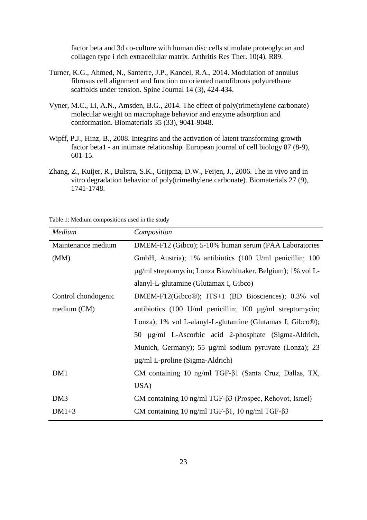factor beta and 3d co-culture with human disc cells stimulate proteoglycan and collagen type i rich extracellular matrix. Arthritis Res Ther. 10(4), R89.

- <span id="page-22-3"></span>Turner, K.G., Ahmed, N., Santerre, J.P., Kandel, R.A., 2014. Modulation of annulus fibrosus cell alignment and function on oriented nanofibrous polyurethane scaffolds under tension. Spine Journal 14 (3), 424-434.
- <span id="page-22-1"></span>Vyner, M.C., Li, A.N., Amsden, B.G., 2014. The effect of poly(trimethylene carbonate) molecular weight on macrophage behavior and enzyme adsorption and conformation. Biomaterials 35 (33), 9041-9048.
- <span id="page-22-2"></span>Wipff, P.J., Hinz, B., 2008. Integrins and the activation of latent transforming growth factor beta1 - an intimate relationship. European journal of cell biology 87 (8-9), 601-15.
- <span id="page-22-0"></span>Zhang, Z., Kuijer, R., Bulstra, S.K., Grijpma, D.W., Feijen, J., 2006. The in vivo and in vitro degradation behavior of poly(trimethylene carbonate). Biomaterials 27 (9), 1741-1748.

Table 1: Medium compositions used in the study

| Medium              | Composition                                                            |  |  |
|---------------------|------------------------------------------------------------------------|--|--|
| Maintenance medium  | DMEM-F12 (Gibco); 5-10% human serum (PAA Laboratories                  |  |  |
| (MM)                | GmbH, Austria); 1% antibiotics (100 U/ml penicillin; 100               |  |  |
|                     | µg/ml streptomycin; Lonza Biowhittaker, Belgium); 1% vol L-            |  |  |
|                     | alanyl-L-glutamine (Glutamax I, Gibco)                                 |  |  |
| Control chondogenic | DMEM-F12(Gibco®); ITS+1 (BD Biosciences); 0.3% vol                     |  |  |
| medium (CM)         | antibiotics (100 U/ml penicillin; 100 µg/ml streptomycin;              |  |  |
|                     | Lonza); 1% vol L-alanyl-L-glutamine (Glutamax I; Gibco <sup>®</sup> ); |  |  |
|                     | 50 µg/ml L-Ascorbic acid 2-phosphate (Sigma-Aldrich,                   |  |  |
|                     | Munich, Germany); 55 µg/ml sodium pyruvate (Lonza); 23                 |  |  |
|                     | $\mu$ g/ml L-proline (Sigma-Aldrich)                                   |  |  |
| DM1                 | CM containing 10 ng/ml TGF- $\beta$ 1 (Santa Cruz, Dallas, TX,         |  |  |
|                     | USA)                                                                   |  |  |
| DM <sub>3</sub>     | CM containing $10$ ng/ml TGF- $\beta$ 3 (Prospec, Rehovot, Israel)     |  |  |
| $DM1+3$             | CM containing 10 ng/ml TGF- $\beta$ 1, 10 ng/ml TGF- $\beta$ 3         |  |  |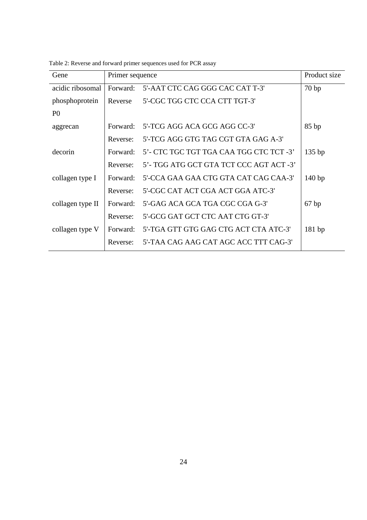| Gene             | Primer sequence |                                         | Product size |
|------------------|-----------------|-----------------------------------------|--------------|
| acidic ribosomal | Forward:        | 5'-AAT CTC CAG GGG CAC CAT T-3'         | 70bp         |
| phosphoprotein   | Reverse         | 5'-CGC TGG CTC CCA CTT TGT-3'           |              |
| P <sub>0</sub>   |                 |                                         |              |
| aggrecan         | Forward:        | 5'-TCG AGG ACA GCG AGG CC-3'            | 85bp         |
|                  | Reverse:        | 5'-TCG AGG GTG TAG CGT GTA GAG A-3'     |              |
| decorin          | Forward:        | 5'- CTC TGC TGT TGA CAA TGG CTC TCT -3' | $135$ bp     |
|                  | Reverse:        | 5'- TGG ATG GCT GTA TCT CCC AGT ACT -3' |              |
| collagen type I  | Forward:        | 5'-CCA GAA GAA CTG GTA CAT CAG CAA-3'   | 140bp        |
|                  | Reverse:        | 5'-CGC CAT ACT CGA ACT GGA ATC-3'       |              |
| collagen type II | Forward:        | 5'-GAG ACA GCA TGA CGC CGA G-3'         | 67bp         |
|                  | Reverse:        | 5'-GCG GAT GCT CTC AAT CTG GT-3'        |              |
| collagen type V  | Forward:        | 5'-TGA GTT GTG GAG CTG ACT CTA ATC-3'   | 181bp        |
|                  | Reverse:        | 5'-TAA CAG AAG CAT AGC ACC TTT CAG-3'   |              |

Table 2: Reverse and forward primer sequences used for PCR assay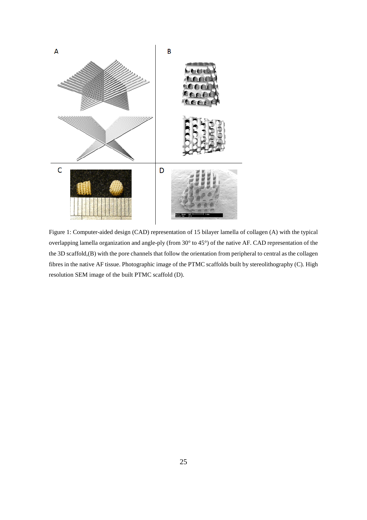

Figure 1: Computer-aided design (CAD) representation of 15 bilayer lamella of collagen (A) with the typical overlapping lamella organization and angle-ply (from 30° to 45°) of the native AF. CAD representation of the the 3D scaffold,(B) with the pore channels that follow the orientation from peripheral to central as the collagen fibres in the native AF tissue. Photographic image of the PTMC scaffolds built by stereolithography (C). High resolution SEM image of the built PTMC scaffold (D).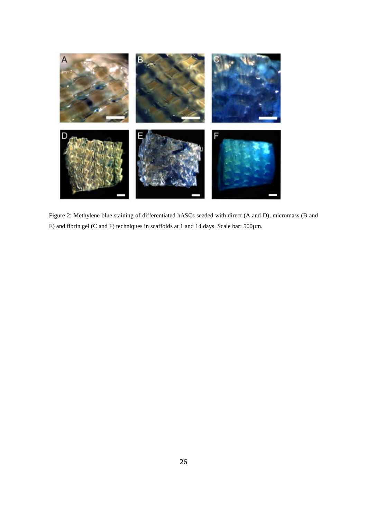

Figure 2: Methylene blue staining of differentiated hASCs seeded with direct (A and D), micromass (B and E) and fibrin gel (C and F) techniques in scaffolds at 1 and 14 days. Scale bar: 500µm.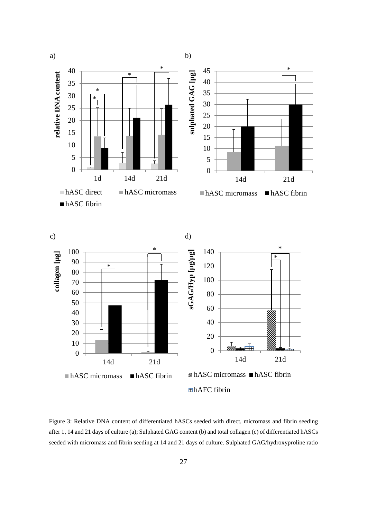

Figure 3: Relative DNA content of differentiated hASCs seeded with direct, micromass and fibrin seeding after 1, 14 and 21 days of culture (a); Sulphated GAG content (b) and total collagen (c) of differentiated hASCs seeded with micromass and fibrin seeding at 14 and 21 days of culture. Sulphated GAG/hydroxyproline ratio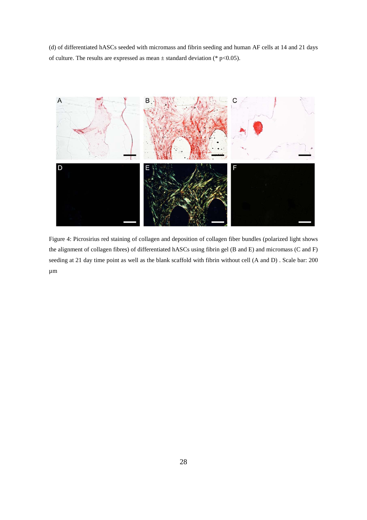(d) of differentiated hASCs seeded with micromass and fibrin seeding and human AF cells at 14 and 21 days of culture. The results are expressed as mean  $\pm$  standard deviation (\* p<0.05).



Figure 4: Picrosirius red staining of collagen and deposition of collagen fiber bundles (polarized light shows the alignment of collagen fibres) of differentiated hASCs using fibrin gel (B and E) and micromass (C and F) seeding at 21 day time point as well as the blank scaffold with fibrin without cell (A and D) . Scale bar: 200 µm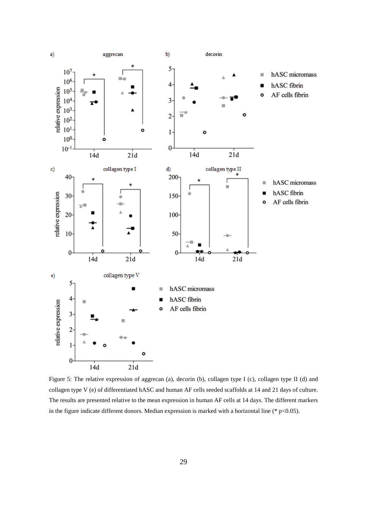

Figure 5: The relative expression of aggrecan (a), decorin (b), collagen type I (c), collagen type II (d) and collagen type V (e) of differentiated hASC and human AF cells seeded scaffolds at 14 and 21 days of culture. The results are presented relative to the mean expression in human AF cells at 14 days. The different markers in the figure indicate different donors. Median expression is marked with a horizontal line ( $*$  p<0.05).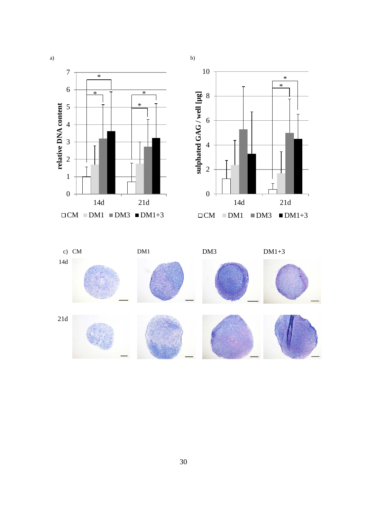



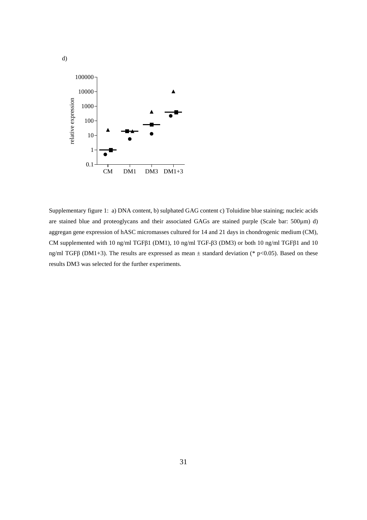

d)

Supplementary figure 1: a) DNA content, b) sulphated GAG content c) Toluidine blue staining; nucleic acids are stained blue and proteoglycans and their associated GAGs are stained purple (Scale bar: 500µm) d) aggregan gene expression of hASC micromasses cultured for 14 and 21 days in chondrogenic medium (CM), CM supplemented with 10 ng/ml TGFβ1 (DM1), 10 ng/ml TGF-β3 (DM3) or both 10 ng/ml TGFβ1 and 10 ng/ml TGFβ (DM1+3). The results are expressed as mean ± standard deviation (\* p<0.05). Based on these results DM3 was selected for the further experiments.